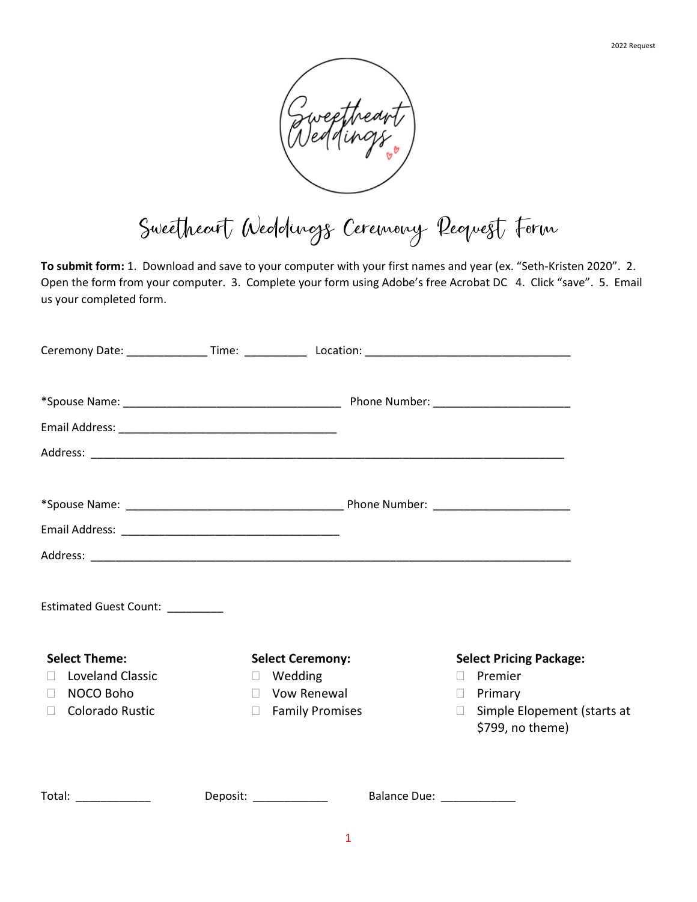

Sweetheart Weddings Ceremony Request Form

**To submit form:** 1. Download and save to your computer with your first names and year (ex. "Seth-Kristen 2020". 2. Open the form from your computer. 3. Complete your form using Adobe's free Acrobat DC 4. Click "save". 5. Email us your completed form.

| Ceremony Date: __________________Time: ________________Location: ___________________________________ |                                         |                             |                                                                             |
|------------------------------------------------------------------------------------------------------|-----------------------------------------|-----------------------------|-----------------------------------------------------------------------------|
|                                                                                                      |                                         |                             |                                                                             |
|                                                                                                      |                                         |                             |                                                                             |
|                                                                                                      |                                         |                             |                                                                             |
|                                                                                                      |                                         |                             |                                                                             |
| Estimated Guest Count: ________                                                                      |                                         |                             |                                                                             |
| <b>Select Theme:</b>                                                                                 | <b>Select Ceremony:</b>                 |                             | <b>Select Pricing Package:</b>                                              |
| <b>Loveland Classic</b><br>П.                                                                        | $\Box$ Wedding                          |                             | Premier<br>$\Box$                                                           |
| NOCO Boho<br>П.<br>□ Colorado Rustic                                                                 | $\Box$ Vow Renewal<br>□ Family Promises |                             | $\Box$ Primary<br>Simple Elopement (starts at<br>$\Box$<br>\$799, no theme) |
| Total: ______________                                                                                | Deposit: _____________                  | Balance Due: ______________ |                                                                             |